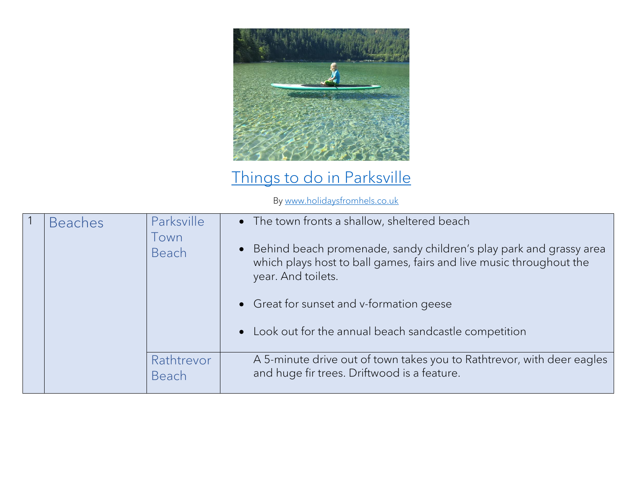

## [Things to do in Parksville](https://www.holidaysfromhels.co.uk/2019/12/05/top-10-things-to-do-in-parksville/)

By [www.holidaysfromhels.co.uk](http://www.holidaysfromhels.co.uk/)

| <b>Beaches</b> | Parksville<br>own<br>Beach | • The town fronts a shallow, sheltered beach<br>• Behind beach promenade, sandy children's play park and grassy area<br>which plays host to ball games, fairs and live music throughout the<br>year. And toilets.<br>• Great for sunset and v-formation geese<br>• Look out for the annual beach sandcastle competition |
|----------------|----------------------------|-------------------------------------------------------------------------------------------------------------------------------------------------------------------------------------------------------------------------------------------------------------------------------------------------------------------------|
|                | Rathtrevor<br>Beach        | A 5-minute drive out of town takes you to Rathtrevor, with deer eagles<br>and huge fir trees. Driftwood is a feature.                                                                                                                                                                                                   |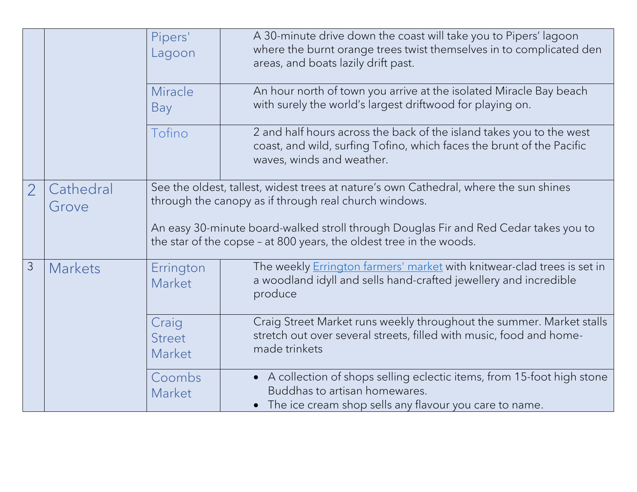|                |                    | Pipers'<br>Lagoon                | A 30-minute drive down the coast will take you to Pipers' lagoon<br>where the burnt orange trees twist themselves in to complicated den<br>areas, and boats lazily drift past. |
|----------------|--------------------|----------------------------------|--------------------------------------------------------------------------------------------------------------------------------------------------------------------------------|
|                |                    | Miracle<br>Bay                   | An hour north of town you arrive at the isolated Miracle Bay beach<br>with surely the world's largest driftwood for playing on.                                                |
|                |                    | Tofino                           | 2 and half hours across the back of the island takes you to the west<br>coast, and wild, surfing Tofino, which faces the brunt of the Pacific<br>waves, winds and weather.     |
| $\overline{2}$ | Cathedral<br>Grove |                                  | See the oldest, tallest, widest trees at nature's own Cathedral, where the sun shines<br>through the canopy as if through real church windows.                                 |
|                |                    |                                  | An easy 30-minute board-walked stroll through Douglas Fir and Red Cedar takes you to<br>the star of the copse - at 800 years, the oldest tree in the woods.                    |
| 3              | <b>Markets</b>     | Errington<br>Market              | The weekly <b>Errington farmers' market</b> with knitwear-clad trees is set in<br>a woodland idyll and sells hand-crafted jewellery and incredible<br>produce                  |
|                |                    | Craig<br><b>Street</b><br>Market | Craig Street Market runs weekly throughout the summer. Market stalls<br>stretch out over several streets, filled with music, food and home-<br>made trinkets                   |
|                |                    | Coombs<br>Market                 | • A collection of shops selling eclectic items, from 15-foot high stone<br>Buddhas to artisan homewares.<br>The ice cream shop sells any flavour you care to name.             |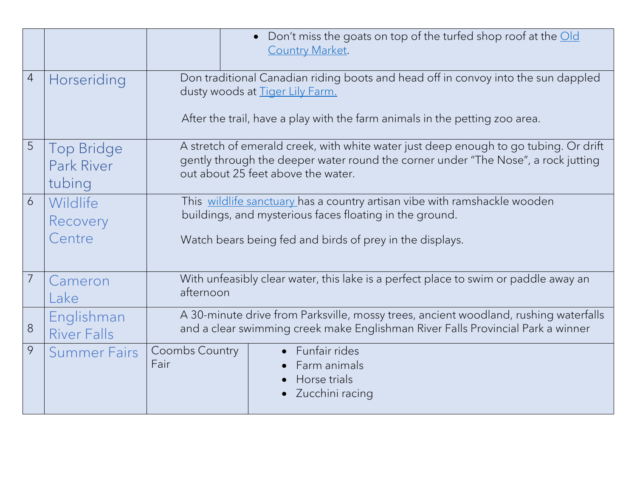|                |                                                  | Don't miss the goats on top of the turfed shop roof at the Old<br>$\bullet$<br><b>Country Market.</b>                                                                                                           |  |
|----------------|--------------------------------------------------|-----------------------------------------------------------------------------------------------------------------------------------------------------------------------------------------------------------------|--|
| $\overline{4}$ | Horseriding                                      | Don traditional Canadian riding boots and head off in convoy into the sun dappled<br>dusty woods at Tiger Lily Farm.                                                                                            |  |
|                |                                                  | After the trail, have a play with the farm animals in the petting zoo area.                                                                                                                                     |  |
| 5              | <b>Top Bridge</b><br><b>Park River</b><br>tubing | A stretch of emerald creek, with white water just deep enough to go tubing. Or drift<br>gently through the deeper water round the corner under "The Nose", a rock jutting<br>out about 25 feet above the water. |  |
| 6              | Wildlife<br>Recovery<br>Centre                   | This wildlife sanctuary has a country artisan vibe with ramshackle wooden<br>buildings, and mysterious faces floating in the ground.<br>Watch bears being fed and birds of prey in the displays.                |  |
|                |                                                  |                                                                                                                                                                                                                 |  |
|                | Cameron<br>Lake                                  | With unfeasibly clear water, this lake is a perfect place to swim or paddle away an<br>afternoon                                                                                                                |  |
| 8              | Englishman<br><b>River Falls</b>                 | A 30-minute drive from Parksville, mossy trees, ancient woodland, rushing waterfalls<br>and a clear swimming creek make Englishman River Falls Provincial Park a winner                                         |  |
| 9              | <b>Summer Fairs</b>                              | • Funfair rides<br>Coombs Country<br>Fair<br>Farm animals<br>Horse trials<br>Zucchini racing                                                                                                                    |  |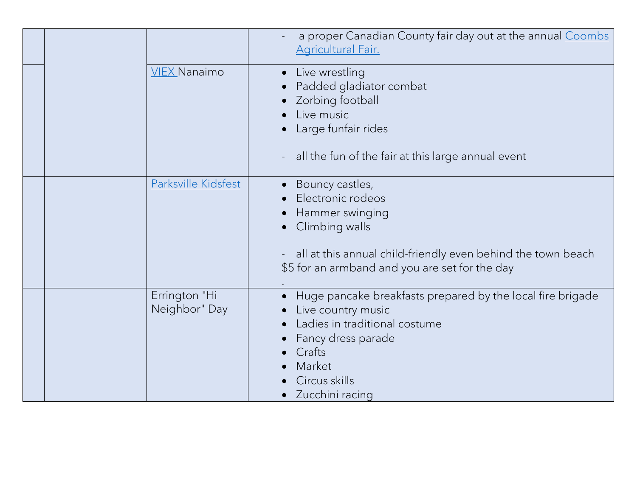|                                | a proper Canadian County fair day out at the annual Coombs<br><b>Agricultural Fair.</b>                                                                                                           |
|--------------------------------|---------------------------------------------------------------------------------------------------------------------------------------------------------------------------------------------------|
| <b>VIEX Nanaimo</b>            | • Live wrestling<br>Padded gladiator combat<br>Zorbing football<br>Live music<br>• Large funfair rides<br>all the fun of the fair at this large annual event                                      |
| Parksville Kidsfest            | • Bouncy castles,<br>Electronic rodeos<br>Hammer swinging<br>Climbing walls<br>all at this annual child-friendly even behind the town beach<br>\$5 for an armband and you are set for the day     |
| Errington "Hi<br>Neighbor" Day | Huge pancake breakfasts prepared by the local fire brigade<br>Live country music<br>Ladies in traditional costume<br>Fancy dress parade<br>Crafts<br>Market<br>Circus skills<br>• Zucchini racing |